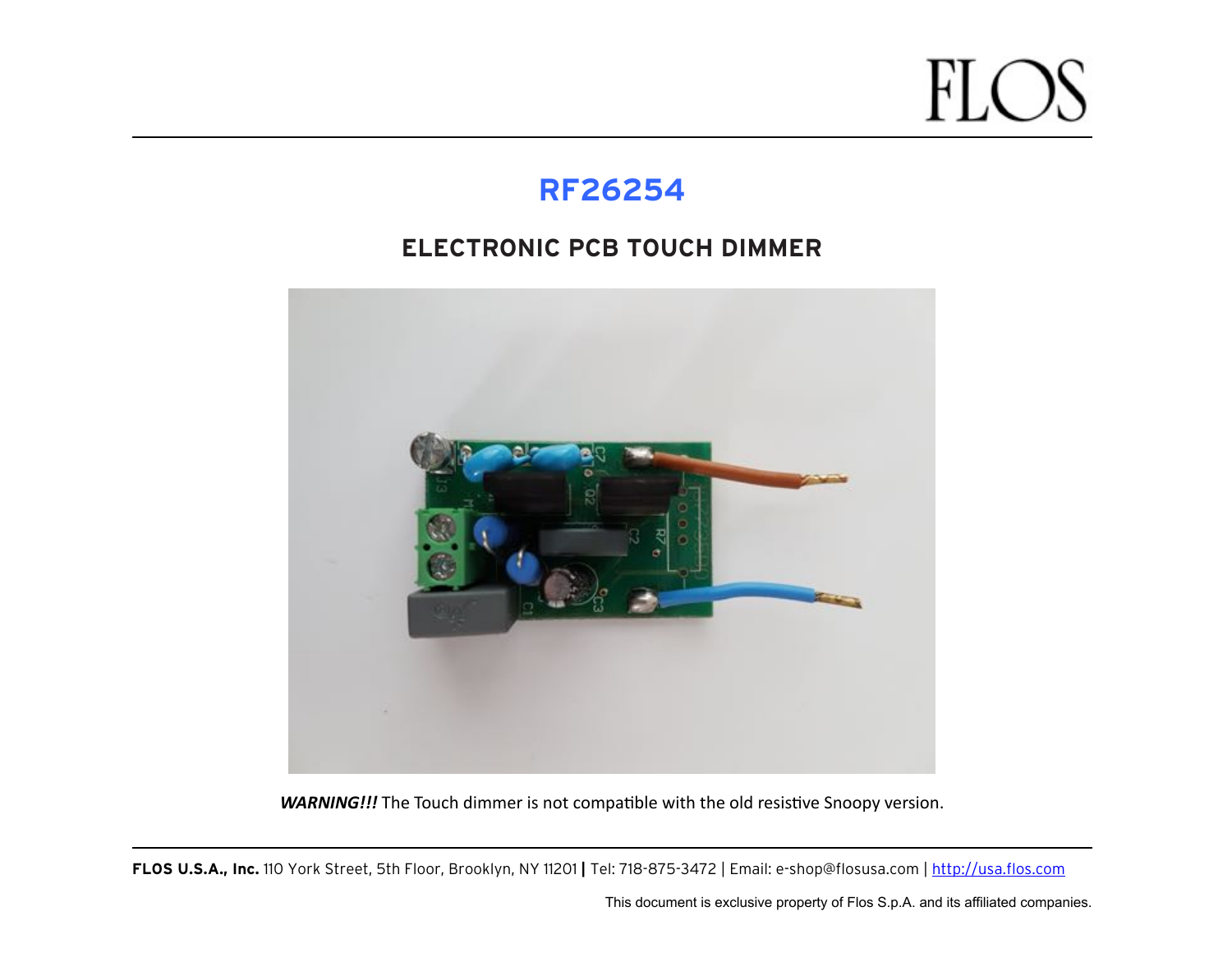#### **RF26254**

#### **ELECTRONIC PCB TOUCH DIMMER**



**WARNING!!!** The Touch dimmer is not compatible with the old resistive Snoopy version.

**FLOS U.S.A., Inc.** 110 York Street, 5th Floor, Brooklyn, NY 11201 **|** Tel: 718-875-3472 | Email: e-shop@flosusa.com |<http://usa.flos.com>

This document is exclusive property of Flos S.p.A. and its affiliated companies.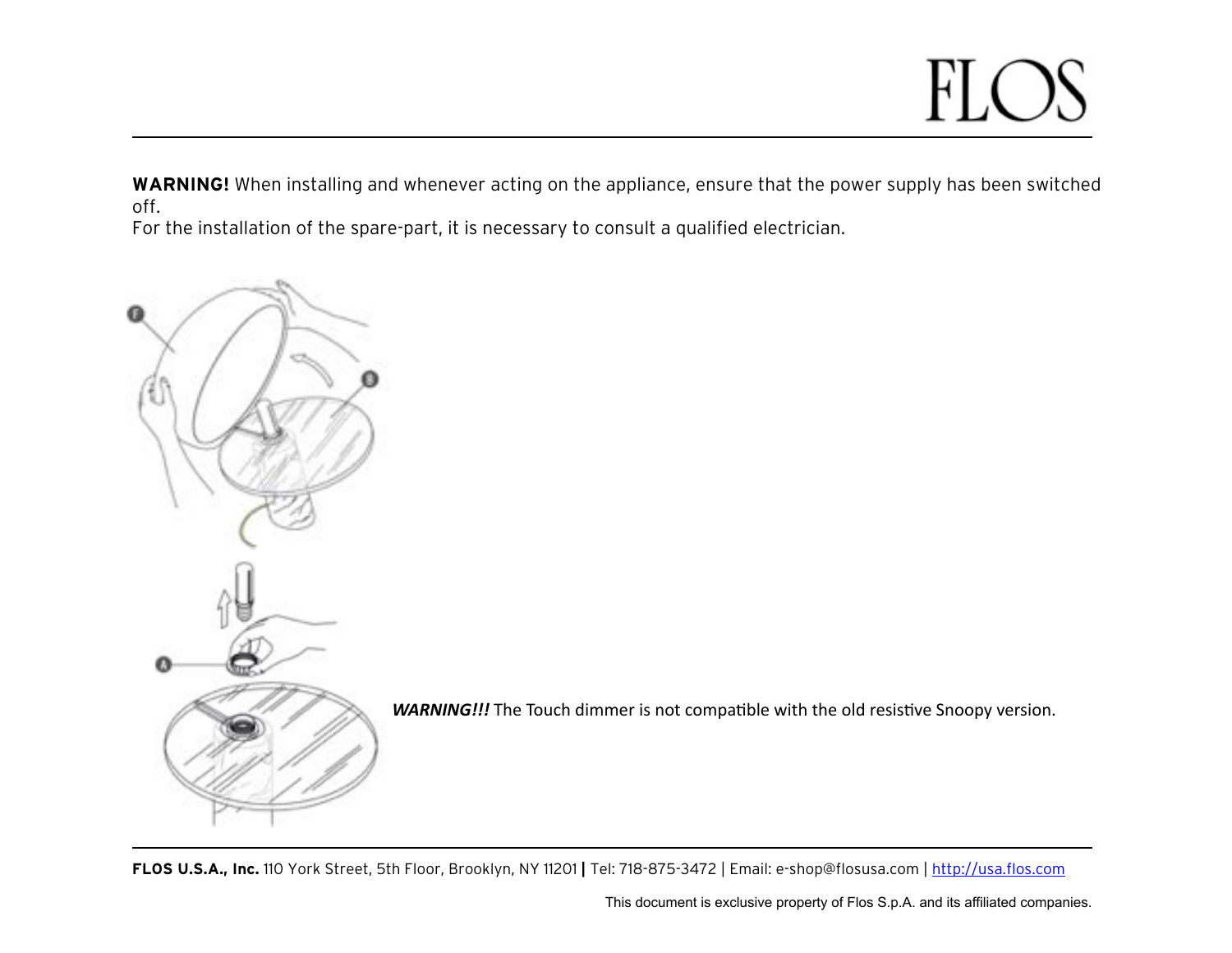#### FL

**WARNING!** When installing and whenever acting on the appliance, ensure that the power supply has been switched off.

For the installation of the spare-part, it is necessary to consult a qualified electrician.



**WARNING!!!** The Touch dimmer is not compatible with the old resistive Snoopy version.

**FLOS U.S.A., Inc.** 110 York Street, 5th Floor, Brooklyn, NY 11201 **|** Tel: 718-875-3472 | Email: e-shop@flosusa.com |<http://usa.flos.com>

This document is exclusive property of Flos S.p.A. and its affiliated companies.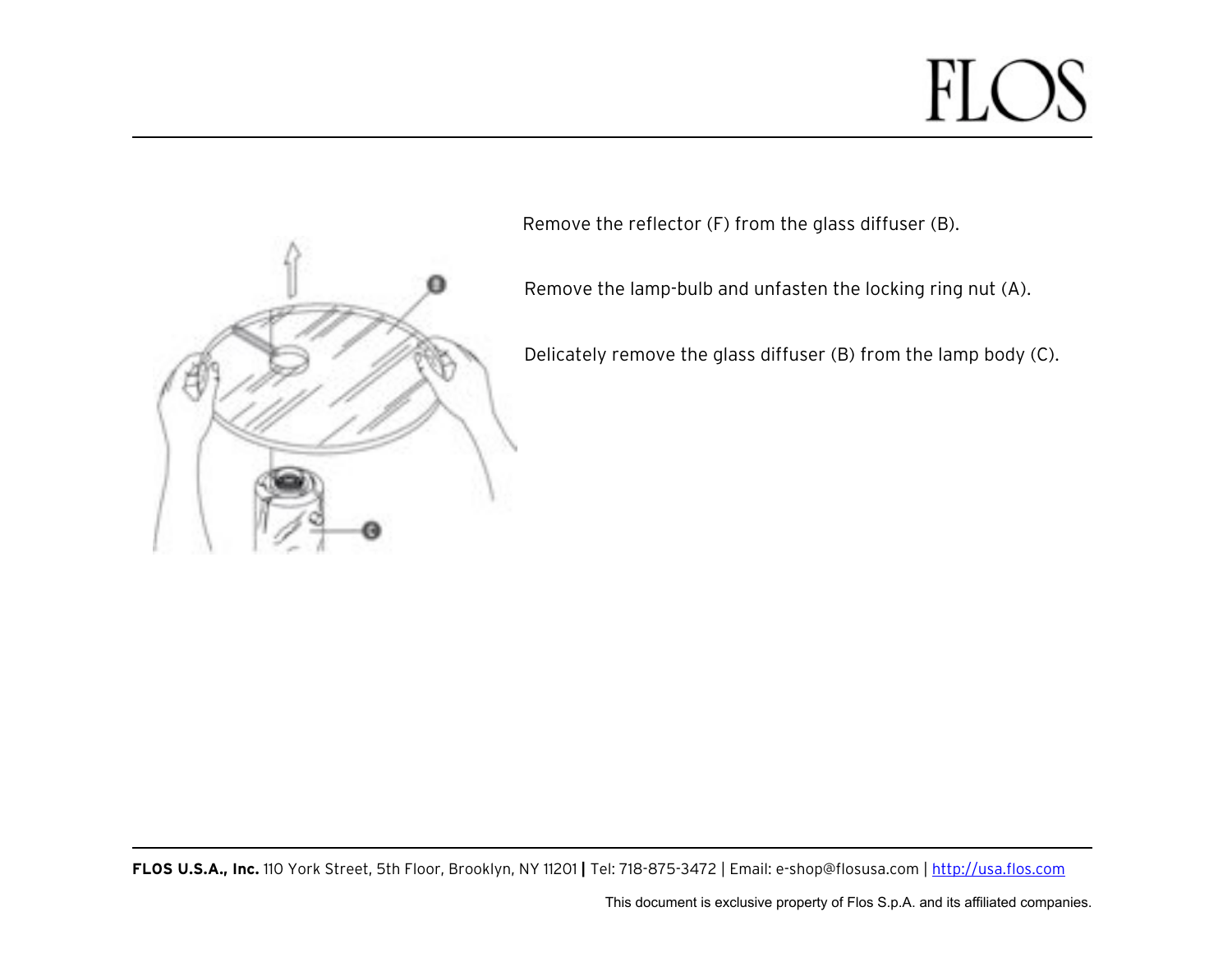

Remove the reflector (F) from the glass diffuser (B).

Remove the lamp-bulb and unfasten the locking ring nut (A).

Delicately remove the glass diffuser (B) from the lamp body (C).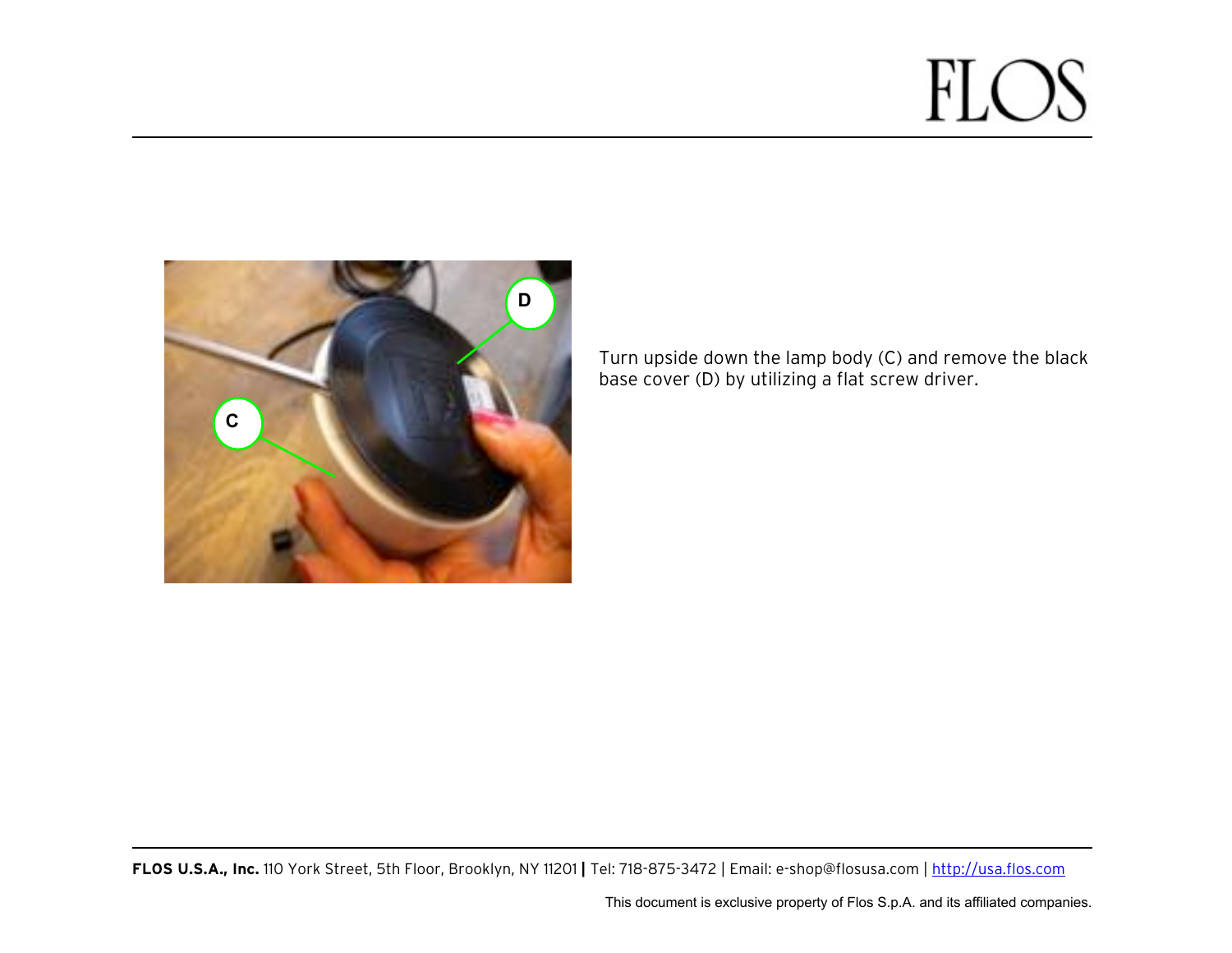

Turn upside down the lamp body (C) and remove the black base cover (D) by utilizing a flat screw driver.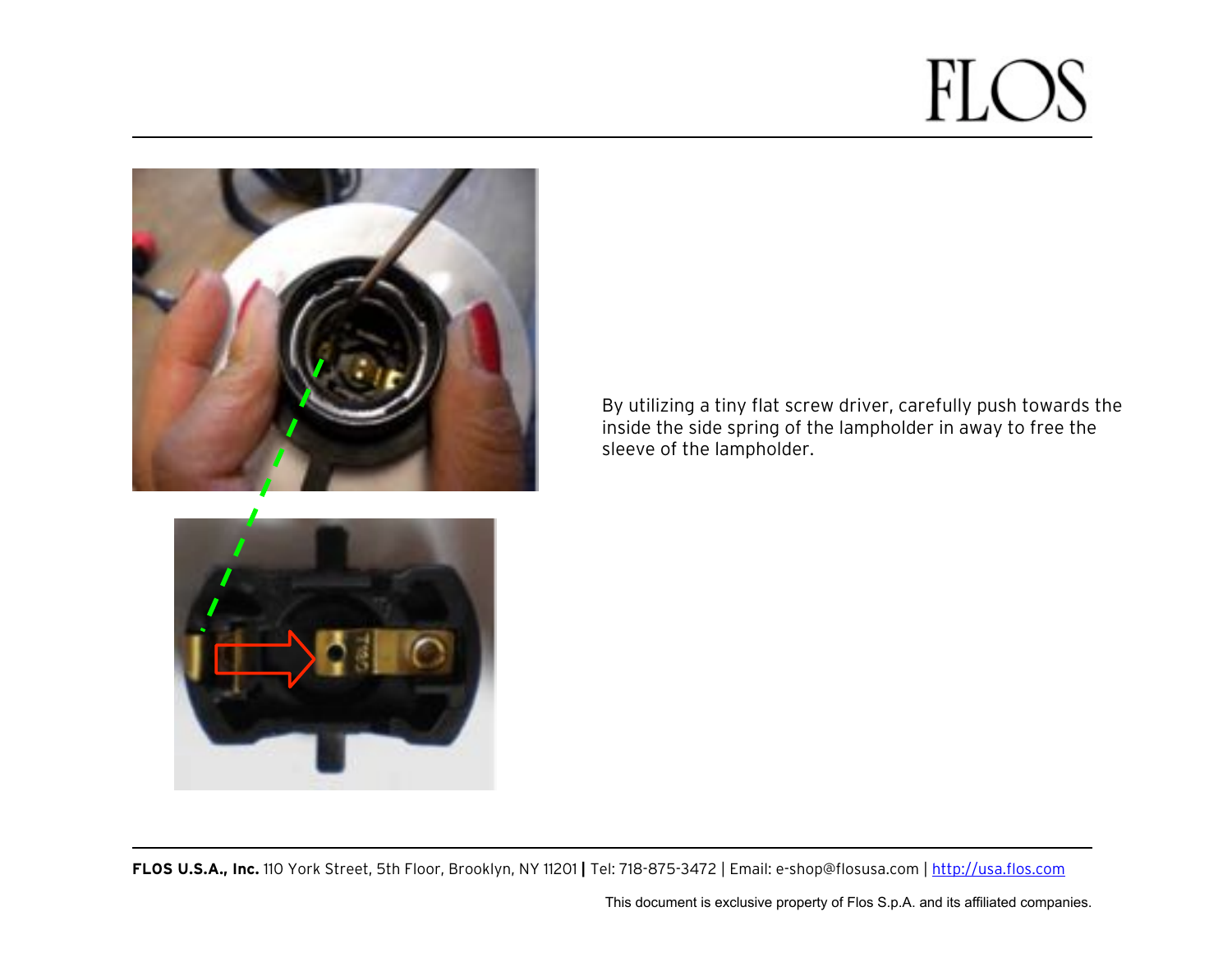



By utilizing a tiny flat screw driver, carefully push towards the inside the side spring of the lampholder in away to free the sleeve of the lampholder.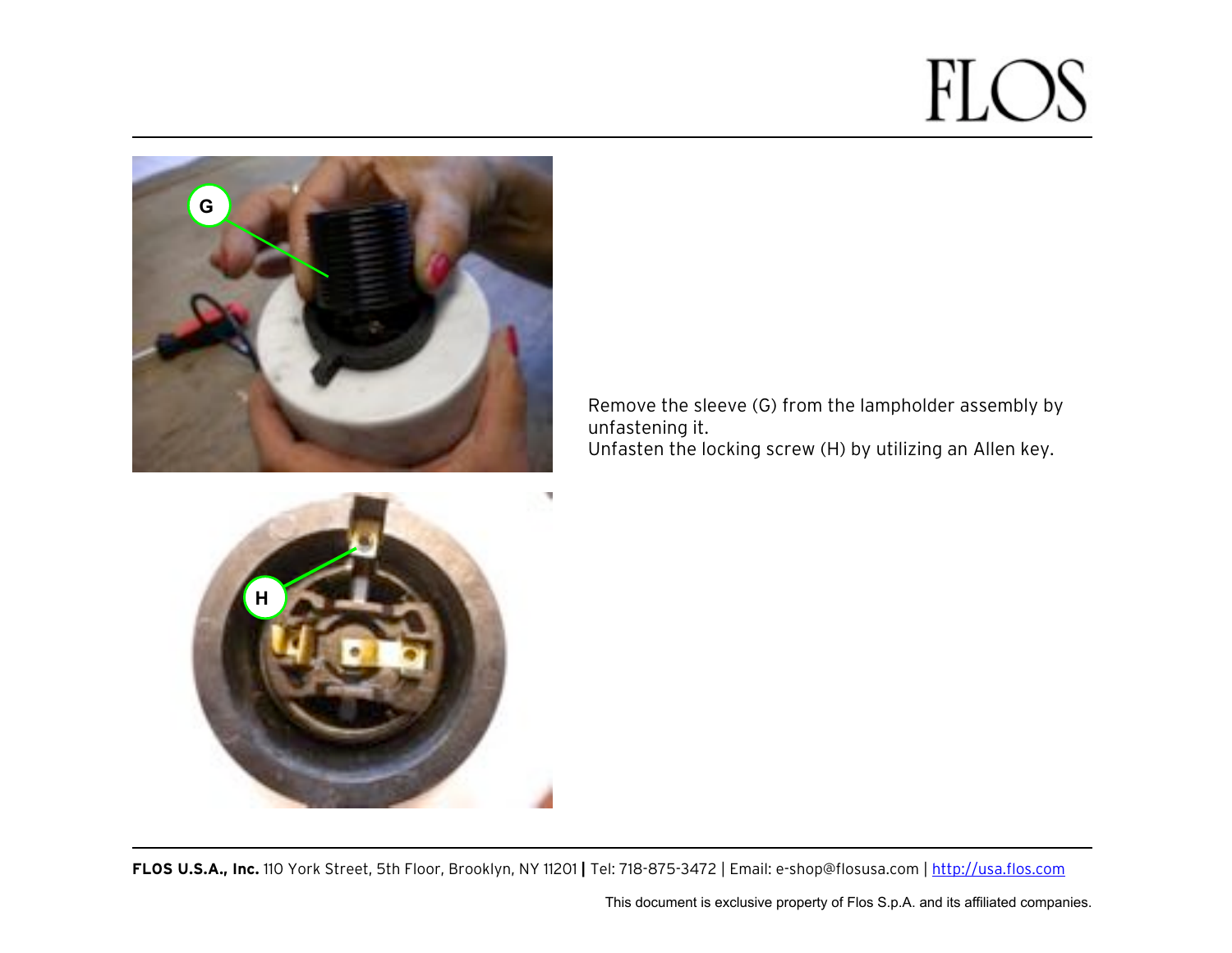

٠ **H**

Remove the sleeve (G) from the lampholder assembly by unfastening it. Unfasten the locking screw (H) by utilizing an Allen key.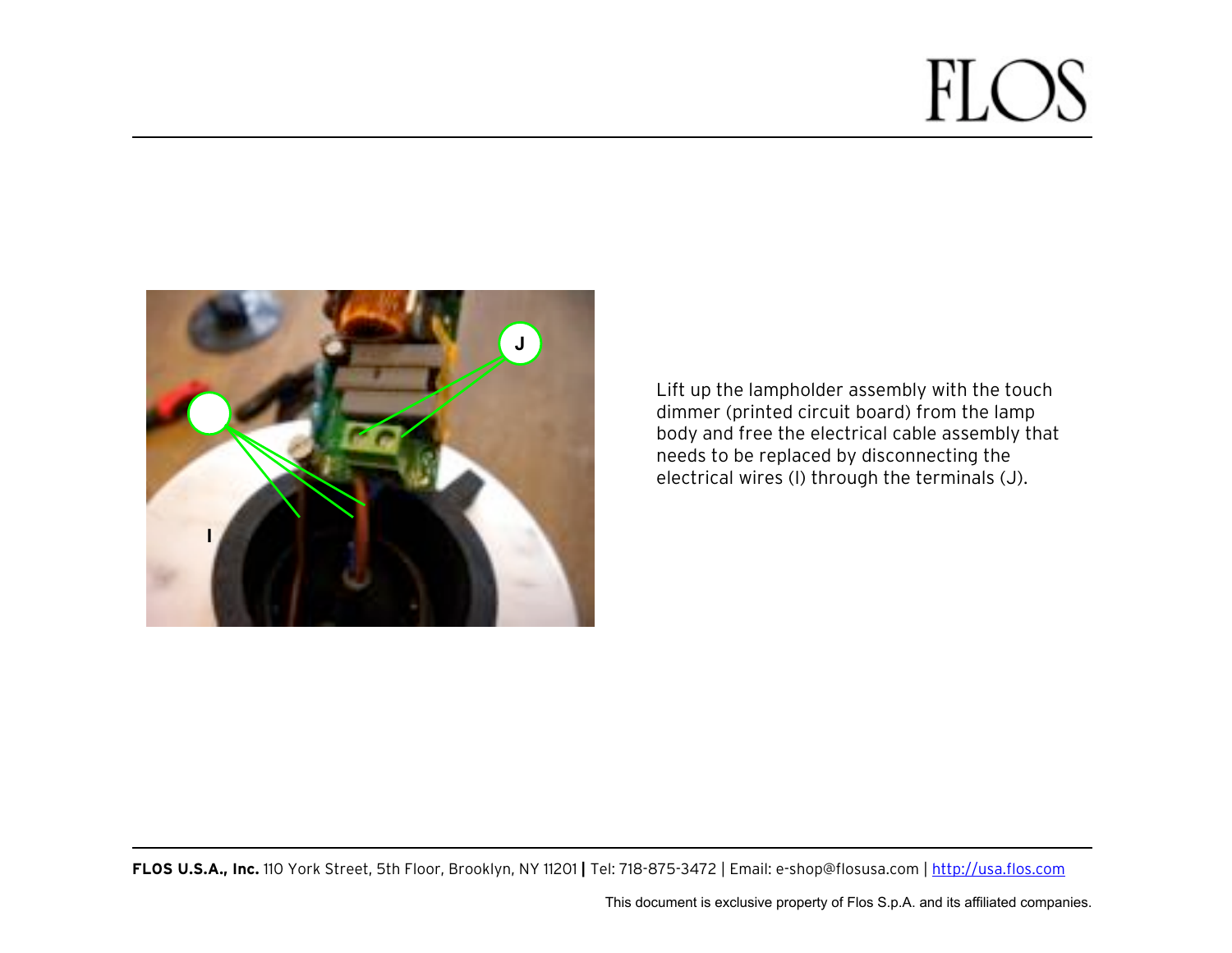

Lift up the lampholder assembly with the touch dimmer (printed circuit board) from the lamp body and free the electrical cable assembly that needs to be replaced by disconnecting the electrical wires (I) through the terminals (J).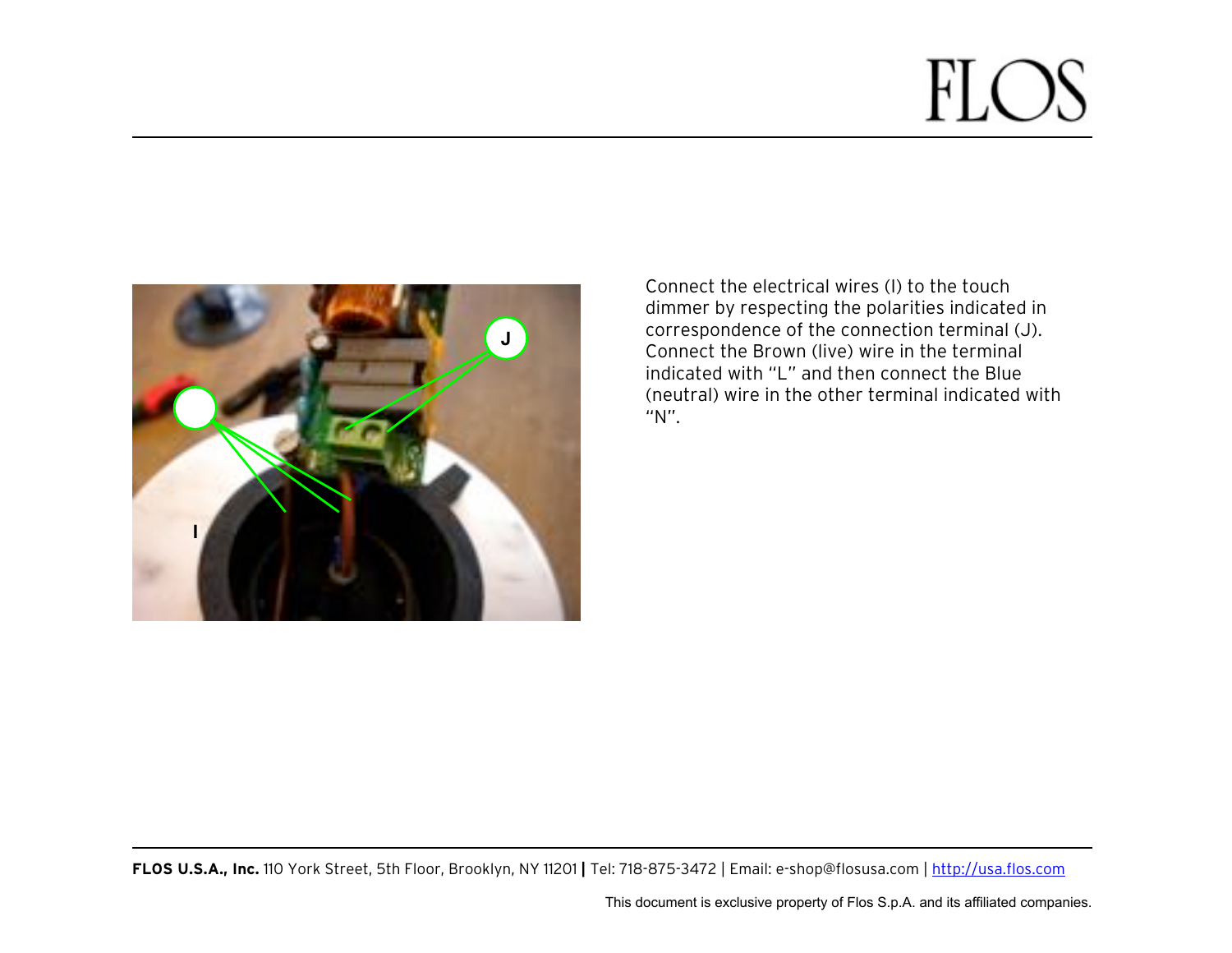

Connect the electrical wires (I) to the touch dimmer by respecting the polarities indicated in correspondence of the connection terminal (J). Connect the Brown (live) wire in the terminal indicated with "L" and then connect the Blue (neutral) wire in the other terminal indicated with "N".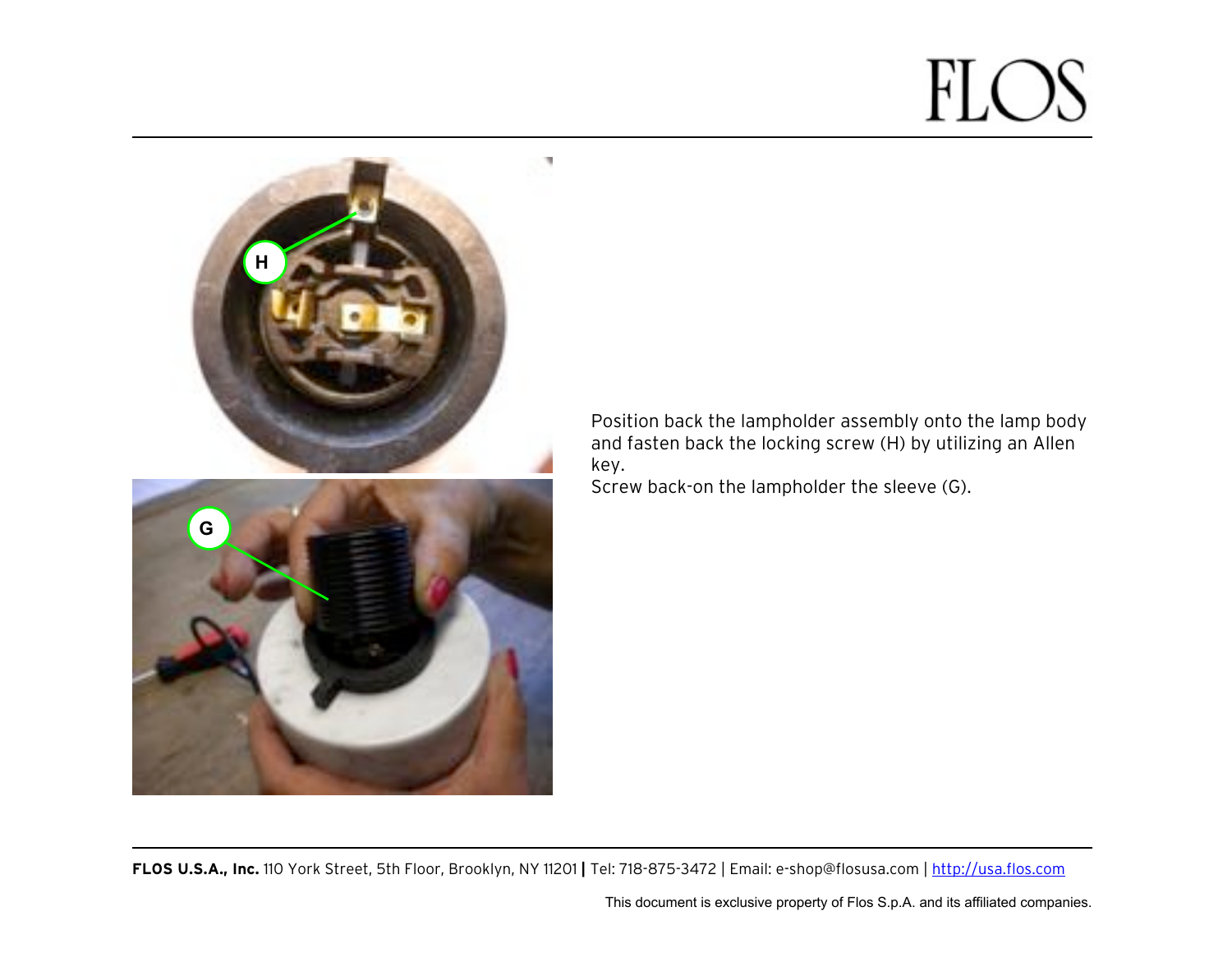

Position back the lampholder assembly onto the lamp body and fasten back the locking screw (H) by utilizing an Allen key.

Screw back-on the lampholder the sleeve (G).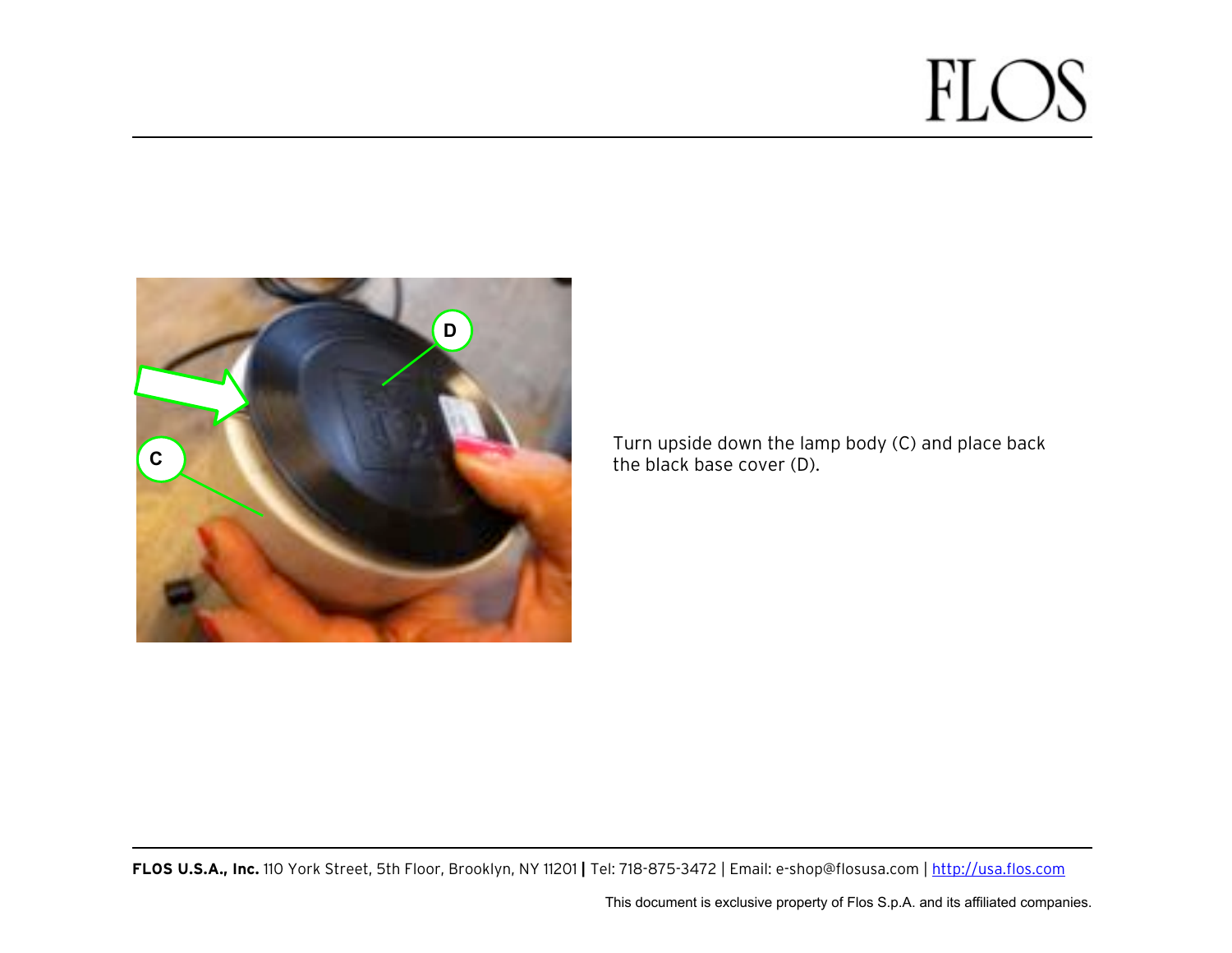

Turn upside down the lamp body (C) and place back the black base cover (D).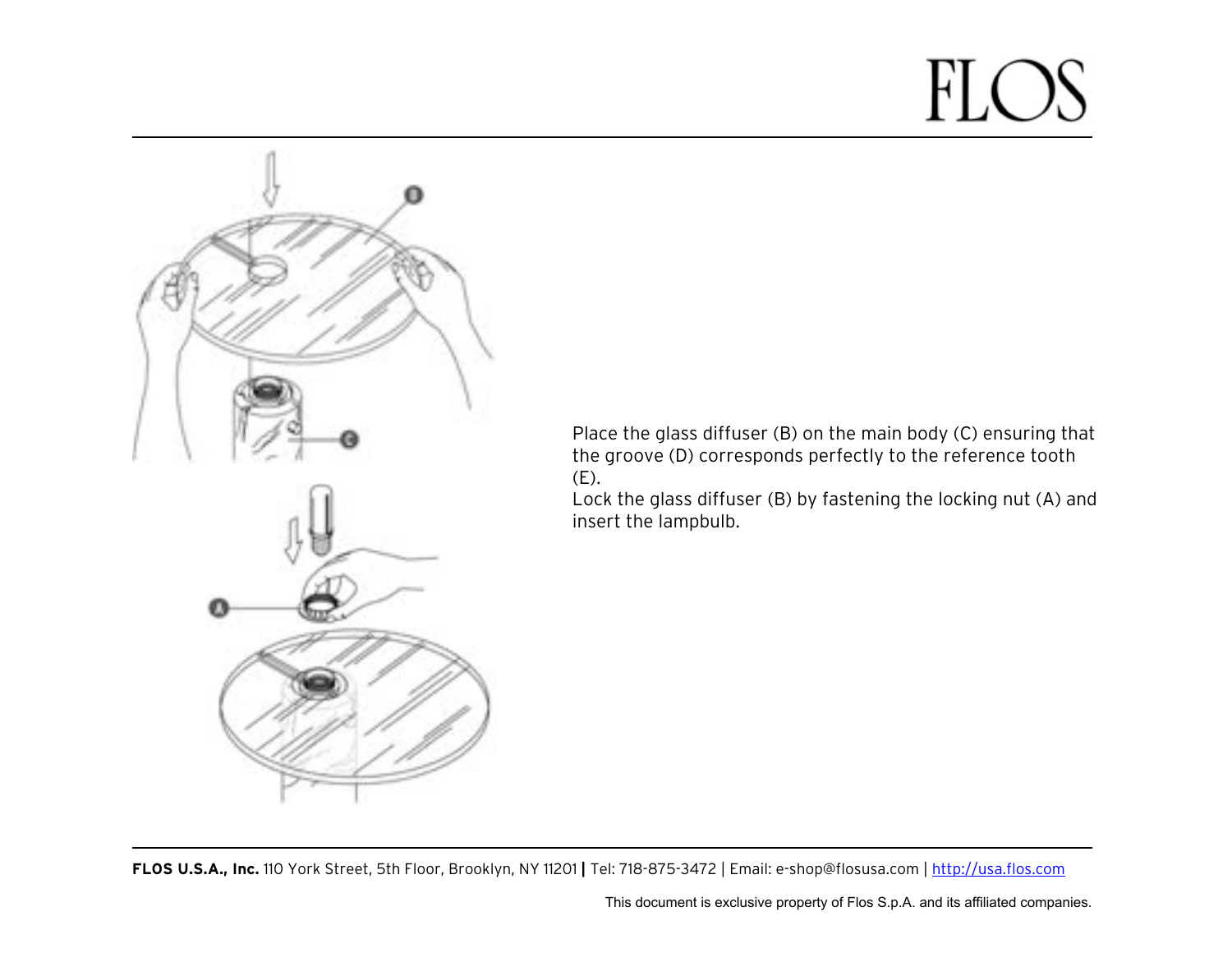

Place the glass diffuser (B) on the main body (C) ensuring that the groove (D) corresponds perfectly to the reference tooth (E).

Lock the glass diffuser (B) by fastening the locking nut (A) and insert the lampbulb.